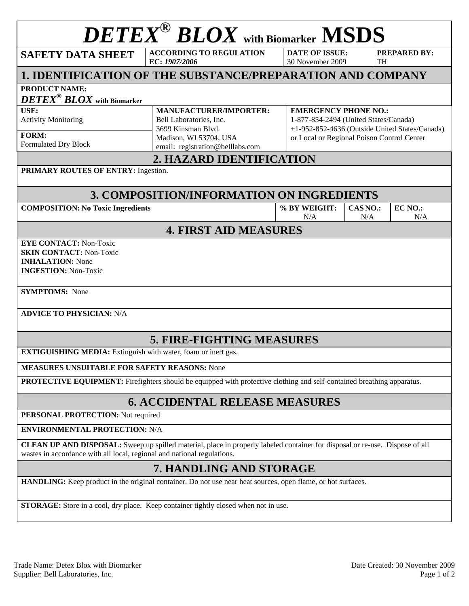| $\boldsymbol{DE}\boldsymbol{TE}\boldsymbol{X}^{\circledast}\boldsymbol{B}\boldsymbol{LO}\boldsymbol{X}$ with Biomarker MSDS                                                                                    |                                                                                                          |                                           |                                                                                                                                                                      |                     |  |  |  |  |  |  |
|----------------------------------------------------------------------------------------------------------------------------------------------------------------------------------------------------------------|----------------------------------------------------------------------------------------------------------|-------------------------------------------|----------------------------------------------------------------------------------------------------------------------------------------------------------------------|---------------------|--|--|--|--|--|--|
| <b>SAFETY DATA SHEET</b>                                                                                                                                                                                       | <b>ACCORDING TO REGULATION</b><br>EC: 1907/2006                                                          | <b>DATE OF ISSUE:</b><br>30 November 2009 | <b>TH</b>                                                                                                                                                            | <b>PREPARED BY:</b> |  |  |  |  |  |  |
| 1. IDENTIFICATION OF THE SUBSTANCE/PREPARATION AND COMPANY                                                                                                                                                     |                                                                                                          |                                           |                                                                                                                                                                      |                     |  |  |  |  |  |  |
| <b>PRODUCT NAME:</b><br>$\pmb{DETEX}^{\circledast}\pmb{BLOX}$ with Biomarker                                                                                                                                   |                                                                                                          |                                           |                                                                                                                                                                      |                     |  |  |  |  |  |  |
| USE:<br><b>Activity Monitoring</b><br>FORM:                                                                                                                                                                    | <b>MANUFACTURER/IMPORTER:</b><br>Bell Laboratories, Inc.<br>3699 Kinsman Blvd.<br>Madison, WI 53704, USA |                                           | <b>EMERGENCY PHONE NO.:</b><br>1-877-854-2494 (United States/Canada)<br>+1-952-852-4636 (Outside United States/Canada)<br>or Local or Regional Poison Control Center |                     |  |  |  |  |  |  |
| Formulated Dry Block                                                                                                                                                                                           | email: registration@belllabs.com                                                                         |                                           |                                                                                                                                                                      |                     |  |  |  |  |  |  |
| 2. HAZARD IDENTIFICATION<br>PRIMARY ROUTES OF ENTRY: Ingestion.                                                                                                                                                |                                                                                                          |                                           |                                                                                                                                                                      |                     |  |  |  |  |  |  |
| 3. COMPOSITION/INFORMATION ON INGREDIENTS                                                                                                                                                                      |                                                                                                          |                                           |                                                                                                                                                                      |                     |  |  |  |  |  |  |
| <b>COMPOSITION: No Toxic Ingredients</b>                                                                                                                                                                       |                                                                                                          | % BY WEIGHT:<br>N/A                       | CAS NO.:<br>N/A                                                                                                                                                      | EC NO.:<br>N/A      |  |  |  |  |  |  |
|                                                                                                                                                                                                                | <b>4. FIRST AID MEASURES</b>                                                                             |                                           |                                                                                                                                                                      |                     |  |  |  |  |  |  |
| <b>EYE CONTACT: Non-Toxic</b><br><b>SKIN CONTACT: Non-Toxic</b><br><b>INHALATION:</b> None<br><b>INGESTION: Non-Toxic</b><br><b>SYMPTOMS:</b> None<br><b>ADVICE TO PHYSICIAN: N/A</b>                          |                                                                                                          |                                           |                                                                                                                                                                      |                     |  |  |  |  |  |  |
| <b>5. FIRE-FIGHTING MEASURES</b>                                                                                                                                                                               |                                                                                                          |                                           |                                                                                                                                                                      |                     |  |  |  |  |  |  |
| <b>EXTIGUISHING MEDIA:</b> Extinguish with water, foam or inert gas.                                                                                                                                           |                                                                                                          |                                           |                                                                                                                                                                      |                     |  |  |  |  |  |  |
| <b>MEASURES UNSUITABLE FOR SAFETY REASONS: None</b>                                                                                                                                                            |                                                                                                          |                                           |                                                                                                                                                                      |                     |  |  |  |  |  |  |
| <b>PROTECTIVE EQUIPMENT:</b> Firefighters should be equipped with protective clothing and self-contained breathing apparatus.                                                                                  |                                                                                                          |                                           |                                                                                                                                                                      |                     |  |  |  |  |  |  |
| <b>6. ACCIDENTAL RELEASE MEASURES</b>                                                                                                                                                                          |                                                                                                          |                                           |                                                                                                                                                                      |                     |  |  |  |  |  |  |
| PERSONAL PROTECTION: Not required                                                                                                                                                                              |                                                                                                          |                                           |                                                                                                                                                                      |                     |  |  |  |  |  |  |
| <b>ENVIRONMENTAL PROTECTION: N/A</b>                                                                                                                                                                           |                                                                                                          |                                           |                                                                                                                                                                      |                     |  |  |  |  |  |  |
| <b>CLEAN UP AND DISPOSAL:</b> Sweep up spilled material, place in properly labeled container for disposal or re-use. Dispose of all<br>wastes in accordance with all local, regional and national regulations. |                                                                                                          |                                           |                                                                                                                                                                      |                     |  |  |  |  |  |  |
| 7. HANDLING AND STORAGE                                                                                                                                                                                        |                                                                                                          |                                           |                                                                                                                                                                      |                     |  |  |  |  |  |  |
| HANDLING: Keep product in the original container. Do not use near heat sources, open flame, or hot surfaces.                                                                                                   |                                                                                                          |                                           |                                                                                                                                                                      |                     |  |  |  |  |  |  |
| <b>STORAGE:</b> Store in a cool, dry place. Keep container tightly closed when not in use.                                                                                                                     |                                                                                                          |                                           |                                                                                                                                                                      |                     |  |  |  |  |  |  |